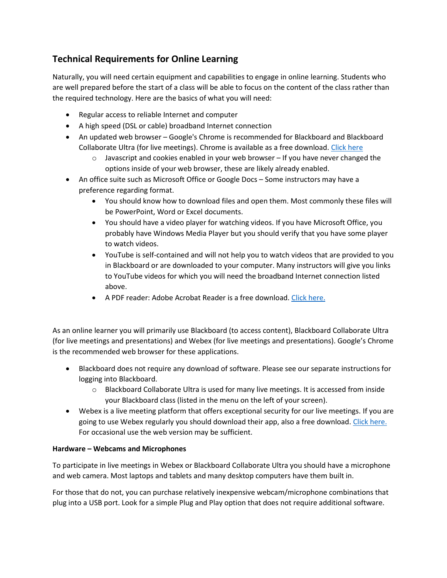## **Technical Requirements for Online Learning**

Naturally, you will need certain equipment and capabilities to engage in online learning. Students who are well prepared before the start of a class will be able to focus on the content of the class rather than the required technology. Here are the basics of what you will need:

- Regular access to reliable Internet and computer
- A high speed (DSL or cable) broadband Internet connection
- An updated web browser Google's Chrome is recommended for Blackboard and Blackboard Collaborate Ultra (for live meetings). Chrome is available as a free download[. Click here](https://www.google.com/chrome/?brand=CHBD&gclid=CjwKCAjw34n5BRA9EiwA2u9k3ydnv9wxl0loR_y52wr3mI-GKBjpuP3u0QYDfQcvNkvJSgxr6DyKFxoClHAQAvD_BwE&gclsrc=aw.ds)
	- $\circ$  Javascript and cookies enabled in your web browser If you have never changed the options inside of your web browser, these are likely already enabled.
- An office suite such as Microsoft Office or Google Docs Some instructors may have a preference regarding format.
	- You should know how to download files and open them. Most commonly these files will be PowerPoint, Word or Excel documents.
	- You should have a video player for watching videos. If you have Microsoft Office, you probably have Windows Media Player but you should verify that you have some player to watch videos.
	- YouTube is self-contained and will not help you to watch videos that are provided to you in Blackboard or are downloaded to your computer. Many instructors will give you links to YouTube videos for which you will need the broadband Internet connection listed above.
	- A PDF reader: Adobe Acrobat Reader is a free download. [Click here.](https://get.adobe.com/uk/reader/)

As an online learner you will primarily use Blackboard (to access content), Blackboard Collaborate Ultra (for live meetings and presentations) and Webex (for live meetings and presentations). Google's Chrome is the recommended web browser for these applications.

- Blackboard does not require any download of software. Please see our separate instructions for logging into Blackboard.
	- $\circ$  Blackboard Collaborate Ultra is used for many live meetings. It is accessed from inside your Blackboard class (listed in the menu on the left of your screen).
- Webex is a live meeting platform that offers exceptional security for our live meetings. If you are going to use Webex regularly you should download their app, also a free download[. Click here.](https://www.webex.com/downloads.html) For occasional use the web version may be sufficient.

## **Hardware – Webcams and Microphones**

To participate in live meetings in Webex or Blackboard Collaborate Ultra you should have a microphone and web camera. Most laptops and tablets and many desktop computers have them built in.

For those that do not, you can purchase relatively inexpensive webcam/microphone combinations that plug into a USB port. Look for a simple Plug and Play option that does not require additional software.